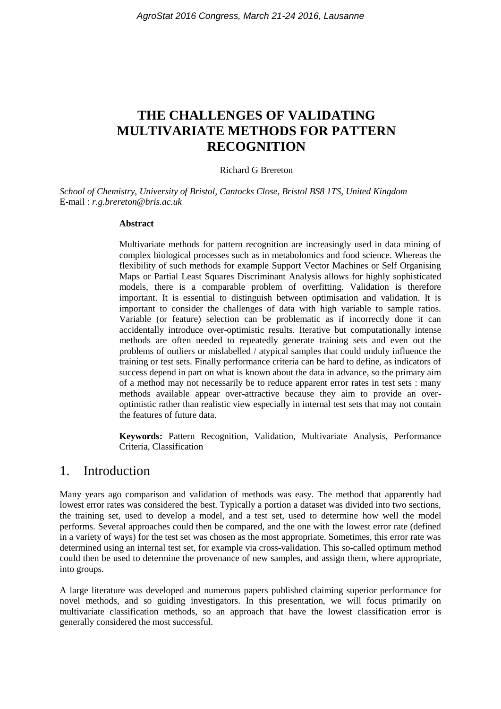# **THE CHALLENGES OF VALIDATING MULTIVARIATE METHODS FOR PATTERN RECOGNITION**

#### Richard G Brereton

*School of Chemistry, University of Bristol, Cantocks Close, Bristol BS8 1TS, United Kingdom* E-mail : *r.g.brereton@bris.ac.uk*

#### **Abstract**

Multivariate methods for pattern recognition are increasingly used in data mining of complex biological processes such as in metabolomics and food science. Whereas the flexibility of such methods for example Support Vector Machines or Self Organising Maps or Partial Least Squares Discriminant Analysis allows for highly sophisticated models, there is a comparable problem of overfitting. Validation is therefore important. It is essential to distinguish between optimisation and validation. It is important to consider the challenges of data with high variable to sample ratios. Variable (or feature) selection can be problematic as if incorrectly done it can accidentally introduce over-optimistic results. Iterative but computationally intense methods are often needed to repeatedly generate training sets and even out the problems of outliers or mislabelled / atypical samples that could unduly influence the training or test sets. Finally performance criteria can be hard to define, as indicators of success depend in part on what is known about the data in advance, so the primary aim of a method may not necessarily be to reduce apparent error rates in test sets : many methods available appear over-attractive because they aim to provide an overoptimistic rather than realistic view especially in internal test sets that may not contain the features of future data.

**Keywords:** Pattern Recognition, Validation, Multivariate Analysis, Performance Criteria, Classification

### 1. Introduction

Many years ago comparison and validation of methods was easy. The method that apparently had lowest error rates was considered the best. Typically a portion a dataset was divided into two sections, the training set, used to develop a model, and a test set, used to determine how well the model performs. Several approaches could then be compared, and the one with the lowest error rate (defined in a variety of ways) for the test set was chosen as the most appropriate. Sometimes, this error rate was determined using an internal test set, for example via cross-validation. This so-called optimum method could then be used to determine the provenance of new samples, and assign them, where appropriate, into groups.

A large literature was developed and numerous papers published claiming superior performance for novel methods, and so guiding investigators. In this presentation, we will focus primarily on multivariate classification methods, so an approach that have the lowest classification error is generally considered the most successful.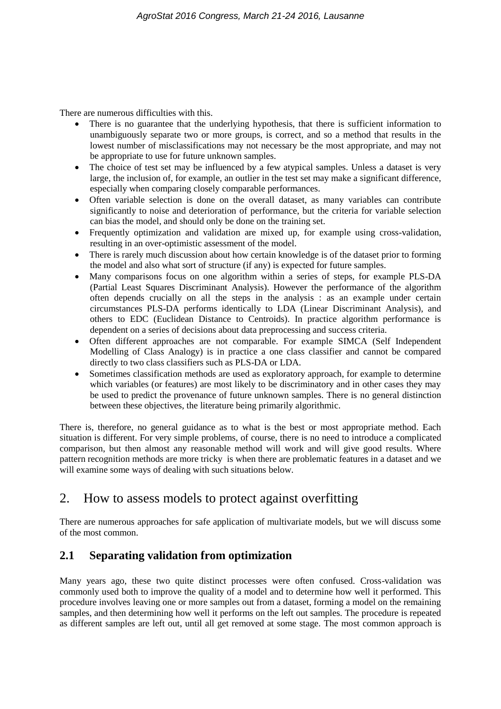There are numerous difficulties with this.

- There is no guarantee that the underlying hypothesis, that there is sufficient information to unambiguously separate two or more groups, is correct, and so a method that results in the lowest number of misclassifications may not necessary be the most appropriate, and may not be appropriate to use for future unknown samples.
- The choice of test set may be influenced by a few atypical samples. Unless a dataset is very large, the inclusion of, for example, an outlier in the test set may make a significant difference, especially when comparing closely comparable performances.
- Often variable selection is done on the overall dataset, as many variables can contribute significantly to noise and deterioration of performance, but the criteria for variable selection can bias the model, and should only be done on the training set.
- Frequently optimization and validation are mixed up, for example using cross-validation, resulting in an over-optimistic assessment of the model.
- There is rarely much discussion about how certain knowledge is of the dataset prior to forming the model and also what sort of structure (if any) is expected for future samples.
- Many comparisons focus on one algorithm within a series of steps, for example PLS-DA (Partial Least Squares Discriminant Analysis). However the performance of the algorithm often depends crucially on all the steps in the analysis : as an example under certain circumstances PLS-DA performs identically to LDA (Linear Discriminant Analysis), and others to EDC (Euclidean Distance to Centroids). In practice algorithm performance is dependent on a series of decisions about data preprocessing and success criteria.
- Often different approaches are not comparable. For example SIMCA (Self Independent Modelling of Class Analogy) is in practice a one class classifier and cannot be compared directly to two class classifiers such as PLS-DA or LDA.
- Sometimes classification methods are used as exploratory approach, for example to determine which variables (or features) are most likely to be discriminatory and in other cases they may be used to predict the provenance of future unknown samples. There is no general distinction between these objectives, the literature being primarily algorithmic.

There is, therefore, no general guidance as to what is the best or most appropriate method. Each situation is different. For very simple problems, of course, there is no need to introduce a complicated comparison, but then almost any reasonable method will work and will give good results. Where pattern recognition methods are more tricky is when there are problematic features in a dataset and we will examine some ways of dealing with such situations below.

# 2. How to assess models to protect against overfitting

There are numerous approaches for safe application of multivariate models, but we will discuss some of the most common.

# **2.1 Separating validation from optimization**

Many years ago, these two quite distinct processes were often confused. Cross-validation was commonly used both to improve the quality of a model and to determine how well it performed. This procedure involves leaving one or more samples out from a dataset, forming a model on the remaining samples, and then determining how well it performs on the left out samples. The procedure is repeated as different samples are left out, until all get removed at some stage. The most common approach is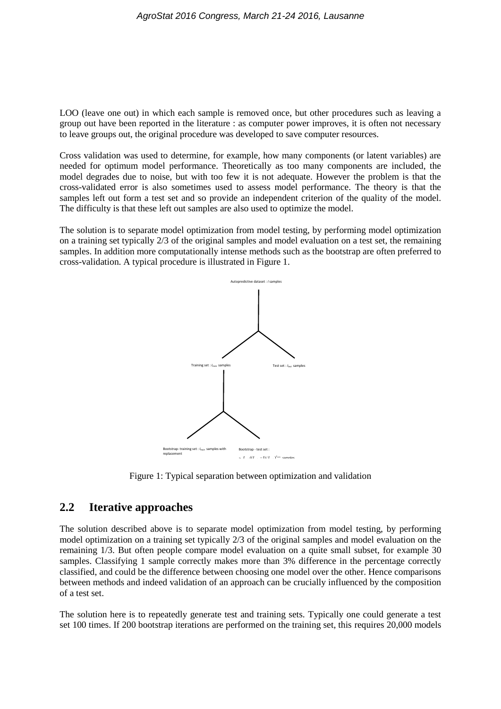LOO (leave one out) in which each sample is removed once, but other procedures such as leaving a group out have been reported in the literature : as computer power improves, it is often not necessary to leave groups out, the original procedure was developed to save computer resources.

Cross validation was used to determine, for example, how many components (or latent variables) are needed for optimum model performance. Theoretically as too many components are included, the model degrades due to noise, but with too few it is not adequate. However the problem is that the cross-validated error is also sometimes used to assess model performance. The theory is that the samples left out form a test set and so provide an independent criterion of the quality of the model. The difficulty is that these left out samples are also used to optimize the model.

The solution is to separate model optimization from model testing, by performing model optimization on a training set typically 2/3 of the original samples and model evaluation on a test set, the remaining samples. In addition more computationally intense methods such as the bootstrap are often preferred to cross-validation. A typical procedure is illustrated in Figure 1.



Figure 1: Typical separation between optimization and validation

#### **2.2 Iterative approaches**

The solution described above is to separate model optimization from model testing, by performing model optimization on a training set typically 2/3 of the original samples and model evaluation on the remaining 1/3. But often people compare model evaluation on a quite small subset, for example 30 samples. Classifying 1 sample correctly makes more than 3% difference in the percentage correctly classified, and could be the difference between choosing one model over the other. Hence comparisons between methods and indeed validation of an approach can be crucially influenced by the composition of a test set.

The solution here is to repeatedly generate test and training sets. Typically one could generate a test set 100 times. If 200 bootstrap iterations are performed on the training set, this requires 20,000 models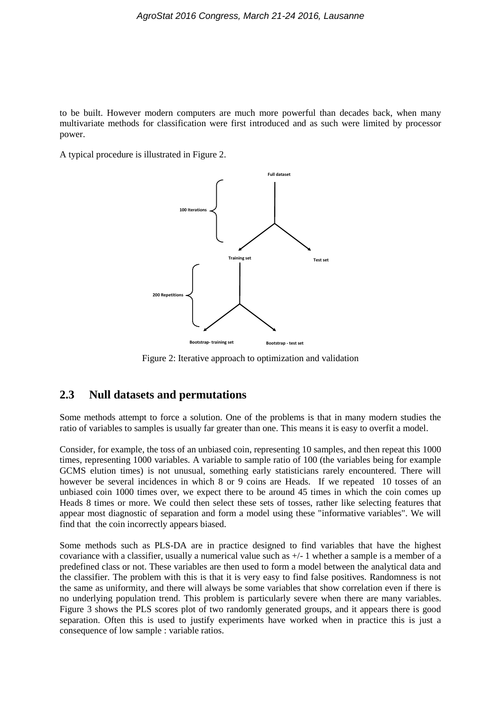to be built. However modern computers are much more powerful than decades back, when many multivariate methods for classification were first introduced and as such were limited by processor power.

A typical procedure is illustrated in Figure 2.



Figure 2: Iterative approach to optimization and validation

## **2.3 Null datasets and permutations**

Some methods attempt to force a solution. One of the problems is that in many modern studies the ratio of variables to samples is usually far greater than one. This means it is easy to overfit a model.

Consider, for example, the toss of an unbiased coin, representing 10 samples, and then repeat this 1000 times, representing 1000 variables. A variable to sample ratio of 100 (the variables being for example GCMS elution times) is not unusual, something early statisticians rarely encountered. There will however be several incidences in which 8 or 9 coins are Heads. If we repeated 10 tosses of an unbiased coin 1000 times over, we expect there to be around 45 times in which the coin comes up Heads 8 times or more. We could then select these sets of tosses, rather like selecting features that appear most diagnostic of separation and form a model using these "informative variables". We will find that the coin incorrectly appears biased.

Some methods such as PLS-DA are in practice designed to find variables that have the highest covariance with a classifier, usually a numerical value such as +/- 1 whether a sample is a member of a predefined class or not. These variables are then used to form a model between the analytical data and the classifier. The problem with this is that it is very easy to find false positives. Randomness is not the same as uniformity, and there will always be some variables that show correlation even if there is no underlying population trend. This problem is particularly severe when there are many variables. Figure 3 shows the PLS scores plot of two randomly generated groups, and it appears there is good separation. Often this is used to justify experiments have worked when in practice this is just a consequence of low sample : variable ratios.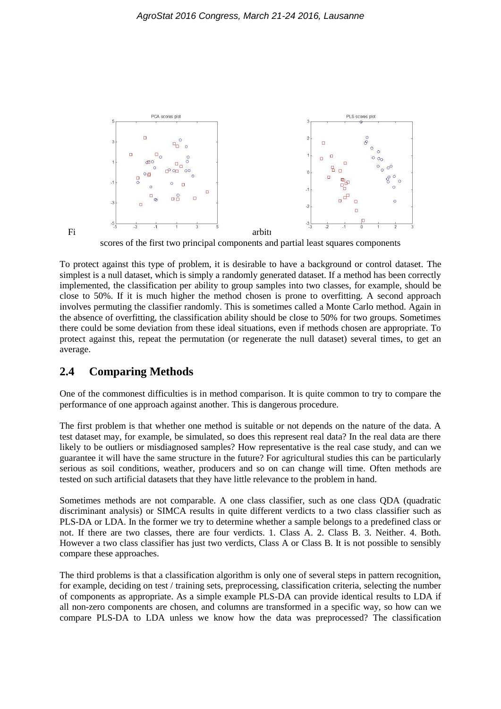

scores of the first two principal components and partial least squares components

To protect against this type of problem, it is desirable to have a background or control dataset. The simplest is a null dataset, which is simply a randomly generated dataset. If a method has been correctly implemented, the classification per ability to group samples into two classes, for example, should be close to 50%. If it is much higher the method chosen is prone to overfitting. A second approach involves permuting the classifier randomly. This is sometimes called a Monte Carlo method. Again in the absence of overfitting, the classification ability should be close to 50% for two groups. Sometimes there could be some deviation from these ideal situations, even if methods chosen are appropriate. To protect against this, repeat the permutation (or regenerate the null dataset) several times, to get an average.

### **2.4 Comparing Methods**

One of the commonest difficulties is in method comparison. It is quite common to try to compare the performance of one approach against another. This is dangerous procedure.

The first problem is that whether one method is suitable or not depends on the nature of the data. A test dataset may, for example, be simulated, so does this represent real data? In the real data are there likely to be outliers or misdiagnosed samples? How representative is the real case study, and can we guarantee it will have the same structure in the future? For agricultural studies this can be particularly serious as soil conditions, weather, producers and so on can change will time. Often methods are tested on such artificial datasets that they have little relevance to the problem in hand.

Sometimes methods are not comparable. A one class classifier, such as one class QDA (quadratic discriminant analysis) or SIMCA results in quite different verdicts to a two class classifier such as PLS-DA or LDA. In the former we try to determine whether a sample belongs to a predefined class or not. If there are two classes, there are four verdicts. 1. Class A. 2. Class B. 3. Neither. 4. Both. However a two class classifier has just two verdicts, Class A or Class B. It is not possible to sensibly compare these approaches.

The third problems is that a classification algorithm is only one of several steps in pattern recognition, for example, deciding on test / training sets, preprocessing, classification criteria, selecting the number of components as appropriate. As a simple example PLS-DA can provide identical results to LDA if all non-zero components are chosen, and columns are transformed in a specific way, so how can we compare PLS-DA to LDA unless we know how the data was preprocessed? The classification